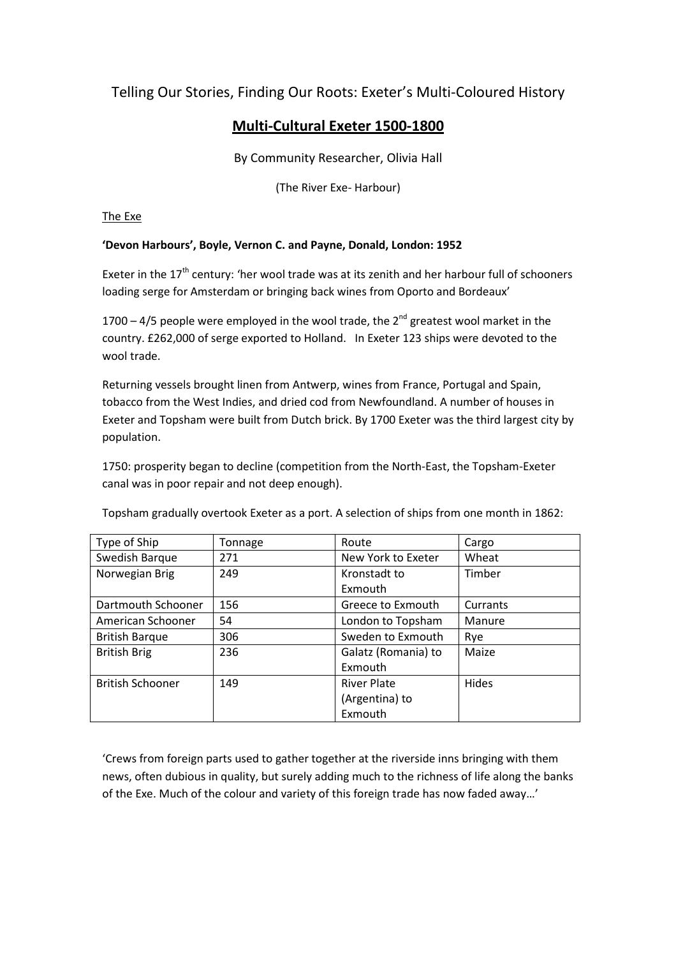## Telling Our Stories, Finding Our Roots: Exeter's Multi-Coloured History

## **Multi-Cultural Exeter 1500-1800**

By Community Researcher, Olivia Hall

(The River Exe- Harbour)

The Exe

## **'Devon Harbours', Boyle, Vernon C. and Payne, Donald, London: 1952**

Exeter in the 17<sup>th</sup> century: 'her wool trade was at its zenith and her harbour full of schooners loading serge for Amsterdam or bringing back wines from Oporto and Bordeaux'

1700 – 4/5 people were employed in the wool trade, the  $2<sup>nd</sup>$  greatest wool market in the country. £262,000 of serge exported to Holland. In Exeter 123 ships were devoted to the wool trade.

Returning vessels brought linen from Antwerp, wines from France, Portugal and Spain, tobacco from the West Indies, and dried cod from Newfoundland. A number of houses in Exeter and Topsham were built from Dutch brick. By 1700 Exeter was the third largest city by population.

1750: prosperity began to decline (competition from the North-East, the Topsham-Exeter canal was in poor repair and not deep enough).

Type of Ship Tonnage Type of Ship Tonnage Type and Route Team Swedish Barque 271 and New York to Exeter Wheat Norwegian Brig 1249 Kronstadt to Exmouth Timber Dartmouth Schooner | 156 Greece to Exmouth | Currants American Schooner | 54 | London to Topsham | Manure British Barque | 306 | Sweden to Exmouth | Rye British Brig 236 Galatz (Romania) to Exmouth Maize British Schooner 149 River Plate (Argentina) to Exmouth **Hides** 

Topsham gradually overtook Exeter as a port. A selection of ships from one month in 1862:

'Crews from foreign parts used to gather together at the riverside inns bringing with them news, often dubious in quality, but surely adding much to the richness of life along the banks of the Exe. Much of the colour and variety of this foreign trade has now faded away…'